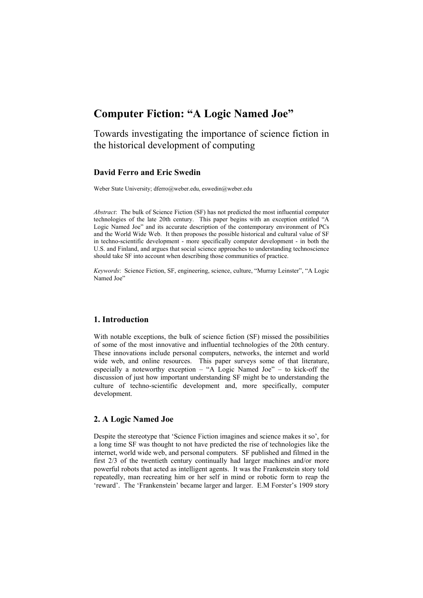# **Computer Fiction: "A Logic Named Joe"**

Towards investigating the importance of science fiction in the historical development of computing

# **David Ferro and Eric Swedin**

Weber State University; dferro@weber.edu, eswedin@weber.edu

*Abstract*: The bulk of Science Fiction (SF) has not predicted the most influential computer technologies of the late 20th century. This paper begins with an exception entitled "A Logic Named Joe" and its accurate description of the contemporary environment of PCs and the World Wide Web. It then proposes the possible historical and cultural value of SF in techno-scientific development - more specifically computer development - in both the U.S. and Finland, and argues that social science approaches to understanding technoscience should take SF into account when describing those communities of practice.

*Keywords*: Science Fiction, SF, engineering, science, culture, "Murray Leinster", "A Logic Named Joe"

# **1. Introduction**

With notable exceptions, the bulk of science fiction (SF) missed the possibilities of some of the most innovative and influential technologies of the 20th century. These innovations include personal computers, networks, the internet and world wide web, and online resources. This paper surveys some of that literature, especially a noteworthy exception – "A Logic Named Joe" – to kick-off the discussion of just how important understanding SF might be to understanding the culture of techno-scientific development and, more specifically, computer development.

# **2. A Logic Named Joe**

Despite the stereotype that 'Science Fiction imagines and science makes it so', for a long time SF was thought to not have predicted the rise of technologies like the internet, world wide web, and personal computers. SF published and filmed in the first 2/3 of the twentieth century continually had larger machines and/or more powerful robots that acted as intelligent agents. It was the Frankenstein story told repeatedly, man recreating him or her self in mind or robotic form to reap the 'reward'. The 'Frankenstein' became larger and larger. E.M Forster's 1909 story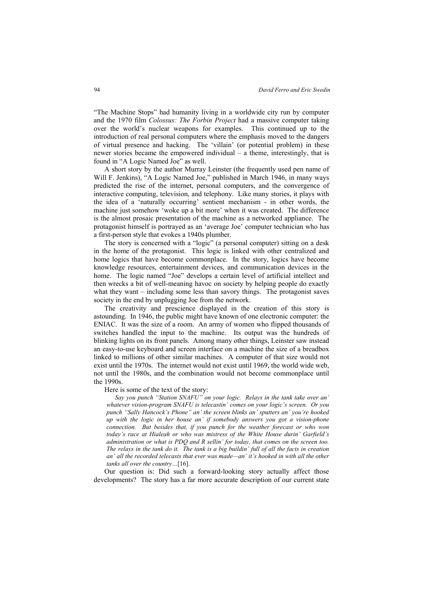"The Machine Stops" had humanity living in a worldwide city run by computer and the 1970 film *Colossus: The Forbin Project* had a massive computer taking over the world's nuclear weapons for examples. This continued up to the introduction of real personal computers where the emphasis moved to the dangers of virtual presence and hacking. The 'villain' (or potential problem) in these newer stories became the empowered individual – a theme, interestingly, that is found in "A Logic Named Joe" as well.

A short story by the author Murray Leinster (the frequently used pen name of Will F. Jenkins), "A Logic Named Joe," published in March 1946, in many ways predicted the rise of the internet, personal computers, and the convergence of interactive computing, television, and telephony. Like many stories, it plays with the idea of a 'naturally occurring' sentient mechanism - in other words, the machine just somehow 'woke up a bit more' when it was created. The difference is the almost prosaic presentation of the machine as a networked appliance. The protagonist himself is portrayed as an 'average Joe' computer technician who has a first-person style that evokes a 1940s plumber.

The story is concerned with a "logic" (a personal computer) sitting on a desk in the home of the protagonist. This logic is linked with other centralized and home logics that have become commonplace. In the story, logics have become knowledge resources, entertainment devices, and communication devices in the home. The logic named "Joe" develops a certain level of artificial intellect and then wrecks a bit of well-meaning havoc on society by helping people do exactly what they want – including some less than savory things. The protagonist saves society in the end by unplugging Joe from the network.

The creativity and prescience displayed in the creation of this story is astounding. In 1946, the public might have known of one electronic computer: the ENIAC. It was the size of a room. An army of women who flipped thousands of switches handled the input to the machine. Its output was the hundreds of blinking lights on its front panels. Among many other things, Leinster saw instead an easy-to-use keyboard and screen interface on a machine the size of a breadbox linked to millions of other similar machines. A computer of that size would not exist until the 1970s. The internet would not exist until 1969, the world wide web, not until the 1980s, and the combination would not become commonplace until the 1990s.

#### Here is some of the text of the story:

*Say you punch "Station SNAFU" on your logic. Relays in the tank take over an' whatever vision-program SNAFU is telecastin' comes on your logic's screen. Or you punch "Sally Hancock's Phone" an' the screen blinks an' sputters an' you're hooked up with the logic in her house an' if somebody answers you got a vision-phone connection. But besides that, if you punch for the weather forecast or who won today's race at Hialeah or who was mistress of the White House durin' Garfield's administration or what is PDQ and R sellin' for today, that comes on the screen too. The relays in the tank do it. The tank is a big buildin' full of all the facts in creation an' all the recorded telecasts that ever was made—an' it's hooked in with all the other tanks all over the country…*[16].

Our question is: Did such a forward-looking story actually affect those developments? The story has a far more accurate description of our current state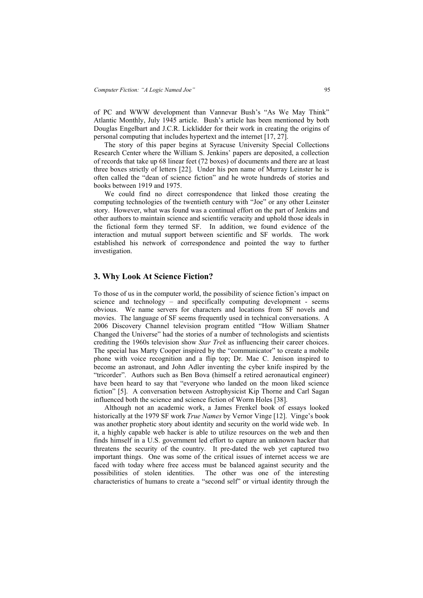of PC and WWW development than Vannevar Bush's "As We May Think" Atlantic Monthly, July 1945 article. Bush's article has been mentioned by both Douglas Engelbart and J.C.R. Licklidder for their work in creating the origins of personal computing that includes hypertext and the internet [17, 27].

The story of this paper begins at Syracuse University Special Collections Research Center where the William S. Jenkins' papers are deposited, a collection of records that take up 68 linear feet (72 boxes) of documents and there are at least three boxes strictly of letters [22]. Under his pen name of Murray Leinster he is often called the "dean of science fiction" and he wrote hundreds of stories and books between 1919 and 1975.

We could find no direct correspondence that linked those creating the computing technologies of the twentieth century with "Joe" or any other Leinster story. However, what was found was a continual effort on the part of Jenkins and other authors to maintain science and scientific veracity and uphold those ideals in the fictional form they termed SF. In addition, we found evidence of the interaction and mutual support between scientific and SF worlds. The work established his network of correspondence and pointed the way to further investigation.

# **3. Why Look At Science Fiction?**

To those of us in the computer world, the possibility of science fiction's impact on science and technology – and specifically computing development - seems obvious. We name servers for characters and locations from SF novels and movies. The language of SF seems frequently used in technical conversations. A 2006 Discovery Channel television program entitled "How William Shatner Changed the Universe" had the stories of a number of technologists and scientists crediting the 1960s television show *Star Trek* as influencing their career choices. The special has Marty Cooper inspired by the "communicator" to create a mobile phone with voice recognition and a flip top; Dr. Mae C. Jenison inspired to become an astronaut, and John Adler inventing the cyber knife inspired by the "tricorder". Authors such as Ben Bova (himself a retired aeronautical engineer) have been heard to say that "everyone who landed on the moon liked science fiction" [5]. A conversation between Astrophysicist Kip Thorne and Carl Sagan influenced both the science and science fiction of Worm Holes [38].

Although not an academic work, a James Frenkel book of essays looked historically at the 1979 SF work *True Names* by Vernor Vinge [12]. Vinge's book was another prophetic story about identity and security on the world wide web. In it, a highly capable web hacker is able to utilize resources on the web and then finds himself in a U.S. government led effort to capture an unknown hacker that threatens the security of the country. It pre-dated the web yet captured two important things. One was some of the critical issues of internet access we are faced with today where free access must be balanced against security and the possibilities of stolen identities. The other was one of the interesting characteristics of humans to create a "second self" or virtual identity through the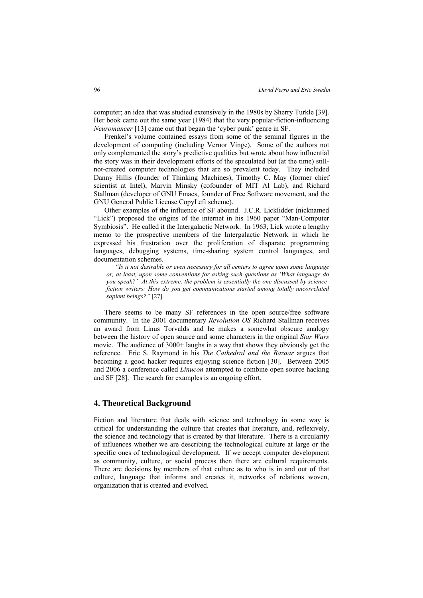computer; an idea that was studied extensively in the 1980s by Sherry Turkle [39]. Her book came out the same year (1984) that the very popular-fiction-influencing *Neuromancer* [13] came out that began the 'cyber punk' genre in SF.

Frenkel's volume contained essays from some of the seminal figures in the development of computing (including Vernor Vinge). Some of the authors not only complemented the story's predictive qualities but wrote about how influential the story was in their development efforts of the speculated but (at the time) stillnot-created computer technologies that are so prevalent today. They included Danny Hillis (founder of Thinking Machines), Timothy C. May (former chief scientist at Intel), Marvin Minsky (cofounder of MIT AI Lab), and Richard Stallman (developer of GNU Emacs, founder of Free Software movement, and the GNU General Public License CopyLeft scheme).

Other examples of the influence of SF abound. J.C.R. Licklidder (nicknamed "Lick") proposed the origins of the internet in his 1960 paper "Man-Computer Symbiosis". He called it the Intergalactic Network. In 1963, Lick wrote a lengthy memo to the prospective members of the Intergalactic Network in which he expressed his frustration over the proliferation of disparate programming languages, debugging systems, time-sharing system control languages, and documentation schemes.

*"Is it not desirable or even necessary for all centers to agree upon some language or, at least, upon some conventions for asking such questions as 'What language do you speak?' At this extreme, the problem is essentially the one discussed by sciencefiction writers: How do you get communications started among totally uncorrelated sapient beings?"* [27].

There seems to be many SF references in the open source/free software community. In the 2001 documentary *Revolution OS* Richard Stallman receives an award from Linus Torvalds and he makes a somewhat obscure analogy between the history of open source and some characters in the original *Star Wars* movie. The audience of 3000+ laughs in a way that shows they obviously get the reference. Eric S. Raymond in his *The Cathedral and the Bazaar* argues that becoming a good hacker requires enjoying science fiction [30]. Between 2005 and 2006 a conference called *Linucon* attempted to combine open source hacking and SF [28]. The search for examples is an ongoing effort.

### **4. Theoretical Background**

Fiction and literature that deals with science and technology in some way is critical for understanding the culture that creates that literature, and, reflexively, the science and technology that is created by that literature. There is a circularity of influences whether we are describing the technological culture at large or the specific ones of technological development. If we accept computer development as community, culture, or social process then there are cultural requirements. There are decisions by members of that culture as to who is in and out of that culture, language that informs and creates it, networks of relations woven, organization that is created and evolved.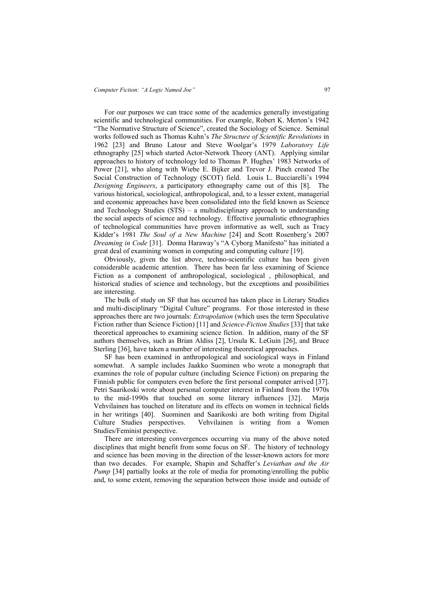For our purposes we can trace some of the academics generally investigating scientific and technological communities. For example, Robert K. Merton's 1942 "The Normative Structure of Science", created the Sociology of Science. Seminal works followed such as Thomas Kuhn's *The Structure of Scientific Revolutions* in 1962 [23] and Bruno Latour and Steve Woolgar's 1979 *Laboratory Life* ethnography [25] which started Actor-Network Theory (ANT). Applying similar approaches to history of technology led to Thomas P. Hughes' 1983 Networks of Power [21], who along with Wiebe E. Bijker and Trevor J. Pinch created The Social Construction of Technology (SCOT) field. Louis L. Bucciarelli's 1994 *Designing Engineers*, a participatory ethnography came out of this [8]. The various historical, sociological, anthropological, and, to a lesser extent, managerial and economic approaches have been consolidated into the field known as Science and Technology Studies (STS) – a multidisciplinary approach to understanding the social aspects of science and technology. Effective journalistic ethnographies of technological communities have proven informative as well, such as Tracy Kidder's 1981 *The Soul of a New Machine* [24] and Scott Rosenberg's 2007 *Dreaming in Code* [31]. Donna Haraway's "A Cyborg Manifesto" has initiated a great deal of examining women in computing and computing culture [19].

Obviously, given the list above, techno-scientific culture has been given considerable academic attention. There has been far less examining of Science Fiction as a component of anthropological, sociological , philosophical, and historical studies of science and technology, but the exceptions and possibilities are interesting.

The bulk of study on SF that has occurred has taken place in Literary Studies and multi-disciplinary "Digital Culture" programs. For those interested in these approaches there are two journals: *Extrapolation* (which uses the term Speculative Fiction rather than Science Fiction) [11] and *Science-Fiction Studies* [33] that take theoretical approaches to examining science fiction. In addition, many of the SF authors themselves, such as Brian Aldiss [2], Ursula K. LeGuin [26], and Bruce Sterling [36], have taken a number of interesting theoretical approaches.

SF has been examined in anthropological and sociological ways in Finland somewhat. A sample includes Jaakko Suominen who wrote a monograph that examines the role of popular culture (including Science Fiction) on preparing the Finnish public for computers even before the first personal computer arrived [37]. Petri Saarikoski wrote about personal computer interest in Finland from the 1970s to the mid-1990s that touched on some literary influences [32]. Marja Vehvilainen has touched on literature and its effects on women in technical fields in her writings [40]. Suominen and Saarikoski are both writing from Digital Culture Studies perspectives. Vehvilainen is writing from a Women Studies/Feminist perspective.

There are interesting convergences occurring via many of the above noted disciplines that might benefit from some focus on SF. The history of technology and science has been moving in the direction of the lesser-known actors for more than two decades. For example, Shapin and Schaffer's *Leviathan and the Air Pump* [34] partially looks at the role of media for promoting/enrolling the public and, to some extent, removing the separation between those inside and outside of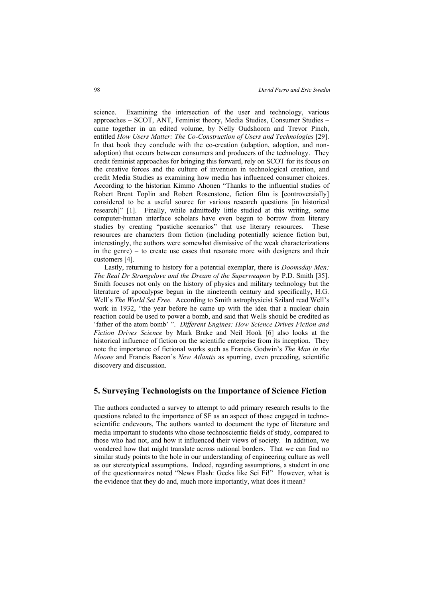science. Examining the intersection of the user and technology, various approaches – SCOT, ANT, Feminist theory, Media Studies, Consumer Studies – came together in an edited volume, by Nelly Oudshoorn and Trevor Pinch, entitled *How Users Matter: The Co-Construction of Users and Technologies* [29]. In that book they conclude with the co-creation (adaption, adoption, and nonadoption) that occurs between consumers and producers of the technology. They credit feminist approaches for bringing this forward, rely on SCOT for its focus on the creative forces and the culture of invention in technological creation, and credit Media Studies as examining how media has influenced consumer choices. According to the historian Kimmo Ahonen "Thanks to the influential studies of Robert Brent Toplin and Robert Rosenstone, fiction film is [controversially] considered to be a useful source for various research questions [in historical research]" [1]. Finally, while admittedly little studied at this writing, some computer-human interface scholars have even begun to borrow from literary studies by creating "pastiche scenarios" that use literary resources. These resources are characters from fiction (including potentially science fiction but, interestingly, the authors were somewhat dismissive of the weak characterizations in the genre) – to create use cases that resonate more with designers and their customers [4].

Lastly, returning to history for a potential exemplar, there is *Doomsday Men: The Real Dr Strangelove and the Dream of the Superweapon* by P.D. Smith [35]. Smith focuses not only on the history of physics and military technology but the literature of apocalypse begun in the nineteenth century and specifically, H.G. Well's *The World Set Free.* According to Smith astrophysicist Szilard read Well's work in 1932, "the year before he came up with the idea that a nuclear chain reaction could be used to power a bomb, and said that Wells should be credited as 'father of the atom bomb' ". *Different Engines: How Science Drives Fiction and Fiction Drives Science* by Mark Brake and Neil Hook [6] also looks at the historical influence of fiction on the scientific enterprise from its inception. They note the importance of fictional works such as Francis Godwin's *The Man in the Moone* and Francis Bacon's *New Atlantis* as spurring, even preceding, scientific discovery and discussion.

#### **5. Surveying Technologists on the Importance of Science Fiction**

The authors conducted a survey to attempt to add primary research results to the questions related to the importance of SF as an aspect of those engaged in technoscientific endevours, The authors wanted to document the type of literature and media important to students who chose technoscientic fields of study, compared to those who had not, and how it influenced their views of society. In addition, we wondered how that might translate across national borders. That we can find no similar study points to the hole in our understanding of engineering culture as well as our stereotypical assumptions. Indeed, regarding assumptions, a student in one of the questionnaires noted "News Flash: Geeks like Sci Fi!" However, what is the evidence that they do and, much more importantly, what does it mean?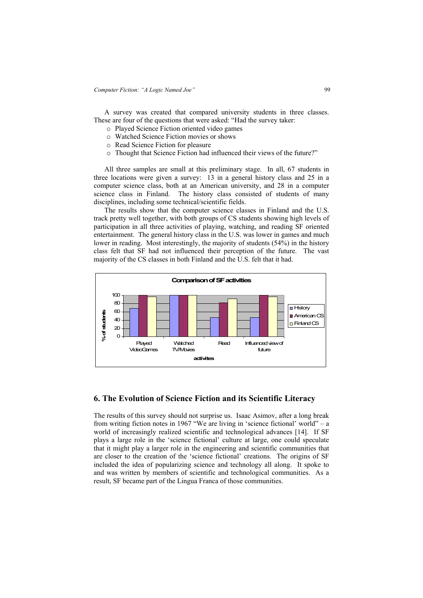A survey was created that compared university students in three classes. These are four of the questions that were asked: "Had the survey taker:

- o Played Science Fiction oriented video games
- o Watched Science Fiction movies or shows
- o Read Science Fiction for pleasure
- o Thought that Science Fiction had influenced their views of the future?"

All three samples are small at this preliminary stage. In all, 67 students in three locations were given a survey: 13 in a general history class and 25 in a computer science class, both at an American university, and 28 in a computer science class in Finland. The history class consisted of students of many disciplines, including some technical/scientific fields.

The results show that the computer science classes in Finland and the U.S. track pretty well together, with both groups of CS students showing high levels of participation in all three activities of playing, watching, and reading SF oriented entertainment. The general history class in the U.S. was lower in games and much lower in reading. Most interestingly, the majority of students (54%) in the history class felt that SF had not influenced their perception of the future. The vast majority of the CS classes in both Finland and the U.S. felt that it had.



#### **6. The Evolution of Science Fiction and its Scientific Literacy**

The results of this survey should not surprise us. Isaac Asimov, after a long break from writing fiction notes in 1967 "We are living in 'science fictional' world" – a world of increasingly realized scientific and technological advances [14]. If SF plays a large role in the 'science fictional' culture at large, one could speculate that it might play a larger role in the engineering and scientific communities that are closer to the creation of the 'science fictional' creations. The origins of SF included the idea of popularizing science and technology all along. It spoke to and was written by members of scientific and technological communities. As a result, SF became part of the Lingua Franca of those communities.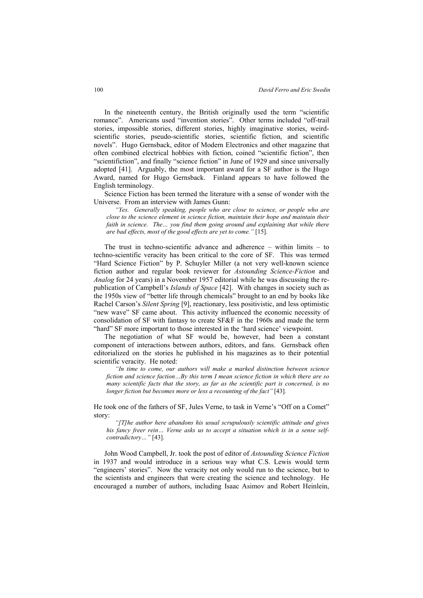In the nineteenth century, the British originally used the term "scientific romance". Americans used "invention stories". Other terms included "off-trail stories, impossible stories, different stories, highly imaginative stories, weirdscientific stories, pseudo-scientific stories, scientific fiction, and scientific novels". Hugo Gernsback, editor of Modern Electronics and other magazine that often combined electrical hobbies with fiction, coined "scientific fiction", then "scientifiction", and finally "science fiction" in June of 1929 and since universally adopted [41]. Arguably, the most important award for a SF author is the Hugo Award, named for Hugo Gernsback. Finland appears to have followed the English terminology.

Science Fiction has been termed the literature with a sense of wonder with the Universe. From an interview with James Gunn:

*"Yes. Generally speaking, people who are close to science, or people who are close to the science element in science fiction, maintain their hope and maintain their faith in science. The… you find them going around and explaining that while there are bad effects, most of the good effects are yet to come."* [15].

The trust in techno-scientific advance and adherence – within limits – to techno-scientific veracity has been critical to the core of SF. This was termed "Hard Science Fiction" by P. Schuyler Miller (a not very well-known science fiction author and regular book reviewer for *Astounding Science-Fiction* and *Analog* for 24 years) in a November 1957 editorial while he was discussing the republication of Campbell's *Islands of Space* [42]. With changes in society such as the 1950s view of "better life through chemicals" brought to an end by books like Rachel Carson's *Silent Spring* [9], reactionary, less positivistic, and less optimistic "new wave" SF came about. This activity influenced the economic necessity of consolidation of SF with fantasy to create SF&F in the 1960s and made the term "hard" SF more important to those interested in the 'hard science' viewpoint.

The negotiation of what SF would be, however, had been a constant component of interactions between authors, editors, and fans. Gernsback often editorialized on the stories he published in his magazines as to their potential scientific veracity. He noted:

*"In time to come, our authors will make a marked distinction between science fiction and science faction…By this term I mean science fiction in which there are so many scientific facts that the story, as far as the scientific part is concerned, is no longer fiction but becomes more or less a recounting of the fact"* [43]*.* 

He took one of the fathers of SF, Jules Verne, to task in Verne's "Off on a Comet" story:

*"[T]he author here abandons his usual scrupulously scientific attitude and gives his fancy freer rein… Verne asks us to accept a situation which is in a sense selfcontradictory…"* [43].

John Wood Campbell, Jr. took the post of editor of *Astounding Science Fiction* in 1937 and would introduce in a serious way what C.S. Lewis would term "engineers' stories". Now the veracity not only would run to the science, but to the scientists and engineers that were creating the science and technology. He encouraged a number of authors, including Isaac Asimov and Robert Heinlein,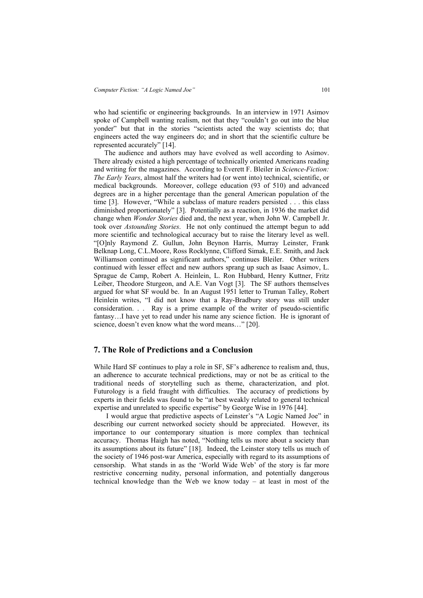who had scientific or engineering backgrounds. In an interview in 1971 Asimov spoke of Campbell wanting realism, not that they "couldn't go out into the blue yonder" but that in the stories "scientists acted the way scientists do; that engineers acted the way engineers do; and in short that the scientific culture be represented accurately" [14].

The audience and authors may have evolved as well according to Asimov. There already existed a high percentage of technically oriented Americans reading and writing for the magazines. According to Everett F. Bleiler in *Science-Fiction: The Early Years*, almost half the writers had (or went into) technical, scientific, or medical backgrounds. Moreover, college education (93 of 510) and advanced degrees are in a higher percentage than the general American population of the time [3]. However, "While a subclass of mature readers persisted . . . this class diminished proportionately" [3]. Potentially as a reaction, in 1936 the market did change when *Wonder Stories* died and, the next year, when John W. Campbell Jr. took over *Astounding Stories*. He not only continued the attempt begun to add more scientific and technological accuracy but to raise the literary level as well. "[O]nly Raymond Z. Gullun, John Beynon Harris, Murray Leinster, Frank Belknap Long, C.L.Moore, Ross Rocklynne, Clifford Simak, E.E. Smith, and Jack Williamson continued as significant authors," continues Bleiler. Other writers continued with lesser effect and new authors sprang up such as Isaac Asimov, L. Sprague de Camp, Robert A. Heinlein, L. Ron Hubbard, Henry Kuttner, Fritz Leiber, Theodore Sturgeon, and A.E. Van Vogt [3]. The SF authors themselves argued for what SF would be. In an August 1951 letter to Truman Talley, Robert Heinlein writes, "I did not know that a Ray-Bradbury story was still under consideration. . . Ray is a prime example of the writer of pseudo-scientific fantasy…I have yet to read under his name any science fiction. He is ignorant of science, doesn't even know what the word means…" [20].

# **7. The Role of Predictions and a Conclusion**

While Hard SF continues to play a role in SF, SF's adherence to realism and, thus, an adherence to accurate technical predictions, may or not be as critical to the traditional needs of storytelling such as theme, characterization, and plot. Futurology is a field fraught with difficulties. The accuracy of predictions by experts in their fields was found to be "at best weakly related to general technical expertise and unrelated to specific expertise" by George Wise in 1976 [44].

 I would argue that predictive aspects of Leinster's "A Logic Named Joe" in describing our current networked society should be appreciated. However, its importance to our contemporary situation is more complex than technical accuracy. Thomas Haigh has noted, "Nothing tells us more about a society than its assumptions about its future" [18]. Indeed, the Leinster story tells us much of the society of 1946 post-war America, especially with regard to its assumptions of censorship. What stands in as the 'World Wide Web' of the story is far more restrictive concerning nudity, personal information, and potentially dangerous technical knowledge than the Web we know today – at least in most of the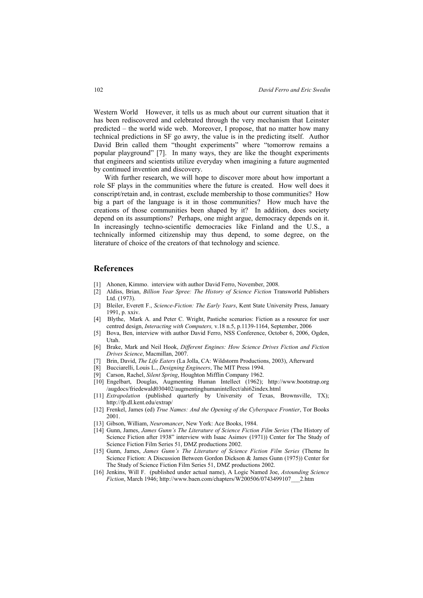Western World However, it tells us as much about our current situation that it has been rediscovered and celebrated through the very mechanism that Leinster predicted – the world wide web. Moreover, I propose, that no matter how many technical predictions in SF go awry, the value is in the predicting itself. Author David Brin called them "thought experiments" where "tomorrow remains a popular playground" [7]. In many ways, they are like the thought experiments that engineers and scientists utilize everyday when imagining a future augmented by continued invention and discovery.

With further research, we will hope to discover more about how important a role SF plays in the communities where the future is created. How well does it conscript/retain and, in contrast, exclude membership to those communities? How big a part of the language is it in those communities? How much have the creations of those communities been shaped by it? In addition, does society depend on its assumptions? Perhaps, one might argue, democracy depends on it. In increasingly techno-scientific democracies like Finland and the U.S., a technically informed citizenship may thus depend, to some degree, on the literature of choice of the creators of that technology and science.

#### **References**

- Ahonen, Kimmo. interview with author David Ferro, November, 2008.
- [2] Aldiss, Brian, *Billion Year Spree: The History of Science Fiction* Transworld Publishers Ltd. (1973).
- [3] Bleiler, Everett F., *Science-Fiction: The Early Years*, Kent State University Press, January 1991, p. xxiv.
- [4] Blythe, Mark A. and Peter C. Wright, Pastiche scenarios: Fiction as a resource for user centred design, *Interacting with Computers,* v.18 n.5, p.1139-1164, September, 2006
- [5] Bova, Ben, interview with author David Ferro, NSS Conference, October 6, 2006, Ogden, Utah.
- [6] Brake, Mark and Neil Hook, *Different Engines: How Science Drives Fiction and Fiction Drives Science*, Macmillan, 2007.
- [7] Brin, David, *The Life Eaters* (La Jolla, CA: Wildstorm Productions, 2003), Afterward
- [8] Bucciarelli, Louis L., *Designing Engineers*, The MIT Press 1994.
- [9] Carson, Rachel, *Silent Spring*, Houghton Mifflin Company 1962.
- [10] Engelbart, Douglas, Augmenting Human Intellect (1962); http://www.bootstrap.org /augdocs/friedewald030402/augmentinghumanintellect/ahi62index.html
- [11] *Extrapolation* (published quarterly by University of Texas, Brownsville, TX); http://fp.dl.kent.edu/extrap/
- [12] Frenkel, James (ed) *True Names: And the Opening of the Cyberspace Frontier*, Tor Books 2001.
- [13] Gibson, William, *Neuromancer*, New York: Ace Books, 1984.
- [14] Gunn, James, *James Gunn's The Literature of Science Fiction Film Series* (The History of Science Fiction after 1938" interview with Isaac Asimov (1971)) Center for The Study of Science Fiction Film Series 51, DMZ productions 2002.
- [15] Gunn, James, *James Gunn's The Literature of Science Fiction Film Series* (Theme In Science Fiction: A Discussion Between Gordon Dickson & James Gunn (1975)) Center for The Study of Science Fiction Film Series 51, DMZ productions 2002.
- [16] Jenkins, Will F. (published under actual name), A Logic Named Joe, *Astounding Science Fiction*, March 1946; http://www.baen.com/chapters/W200506/0743499107\_\_\_2.htm